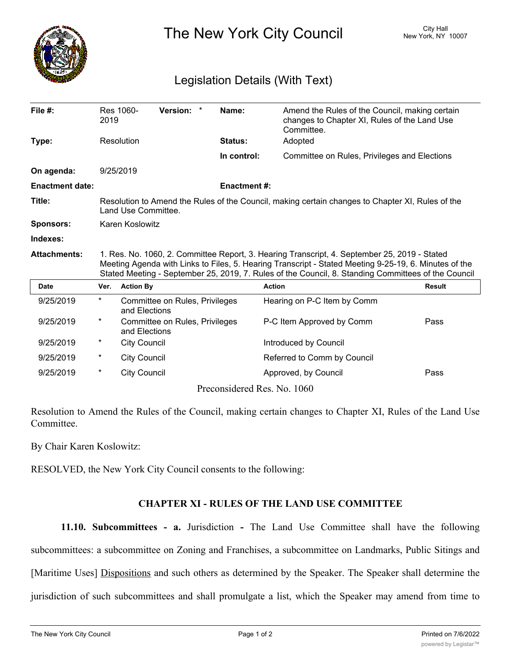

The New York City Council New York, NY 10007

## Legislation Details (With Text)

| File $#$ :             | 2019                                                                                                                                                                                                                                                                                                         | Res 1060-           | Version: *                     |  | Name:                       | Amend the Rules of the Council, making certain<br>changes to Chapter XI, Rules of the Land Use<br>Committee. |               |
|------------------------|--------------------------------------------------------------------------------------------------------------------------------------------------------------------------------------------------------------------------------------------------------------------------------------------------------------|---------------------|--------------------------------|--|-----------------------------|--------------------------------------------------------------------------------------------------------------|---------------|
| Type:                  |                                                                                                                                                                                                                                                                                                              | Resolution          |                                |  | Status:                     | Adopted                                                                                                      |               |
|                        |                                                                                                                                                                                                                                                                                                              |                     |                                |  | In control:                 | Committee on Rules, Privileges and Elections                                                                 |               |
| On agenda:             |                                                                                                                                                                                                                                                                                                              | 9/25/2019           |                                |  |                             |                                                                                                              |               |
| <b>Enactment date:</b> |                                                                                                                                                                                                                                                                                                              |                     |                                |  | <b>Enactment#:</b>          |                                                                                                              |               |
| Title:                 | Resolution to Amend the Rules of the Council, making certain changes to Chapter XI, Rules of the<br>Land Use Committee.                                                                                                                                                                                      |                     |                                |  |                             |                                                                                                              |               |
| <b>Sponsors:</b>       | Karen Koslowitz                                                                                                                                                                                                                                                                                              |                     |                                |  |                             |                                                                                                              |               |
| Indexes:               |                                                                                                                                                                                                                                                                                                              |                     |                                |  |                             |                                                                                                              |               |
| <b>Attachments:</b>    | 1. Res. No. 1060, 2. Committee Report, 3. Hearing Transcript, 4. September 25, 2019 - Stated<br>Meeting Agenda with Links to Files, 5. Hearing Transcript - Stated Meeting 9-25-19, 6. Minutes of the<br>Stated Meeting - September 25, 2019, 7. Rules of the Council, 8. Standing Committees of the Council |                     |                                |  |                             |                                                                                                              |               |
| <b>Date</b>            | Ver.                                                                                                                                                                                                                                                                                                         | <b>Action By</b>    |                                |  |                             | <b>Action</b>                                                                                                | <b>Result</b> |
| 9/25/2019              | $\star$                                                                                                                                                                                                                                                                                                      | and Elections       | Committee on Rules, Privileges |  |                             | Hearing on P-C Item by Comm                                                                                  |               |
| 9/25/2019              | $^\star$                                                                                                                                                                                                                                                                                                     | and Elections       | Committee on Rules, Privileges |  |                             | P-C Item Approved by Comm                                                                                    | Pass          |
| 9/25/2019              | $^\star$                                                                                                                                                                                                                                                                                                     | <b>City Council</b> |                                |  |                             | Introduced by Council                                                                                        |               |
| 9/25/2019              | $^\star$                                                                                                                                                                                                                                                                                                     | <b>City Council</b> |                                |  |                             | Referred to Comm by Council                                                                                  |               |
| 9/25/2019              | $^\star$                                                                                                                                                                                                                                                                                                     | <b>City Council</b> |                                |  |                             | Approved, by Council                                                                                         | Pass          |
|                        |                                                                                                                                                                                                                                                                                                              |                     |                                |  | Preconsidered Res. No. 1060 |                                                                                                              |               |

Resolution to Amend the Rules of the Council, making certain changes to Chapter XI, Rules of the Land Use Committee.

By Chair Karen Koslowitz:

RESOLVED, the New York City Council consents to the following:

## **CHAPTER XI - RULES OF THE LAND USE COMMITTEE**

**11.10. Subcommittees - a.** Jurisdiction **-** The Land Use Committee shall have the following subcommittees: a subcommittee on Zoning and Franchises, a subcommittee on Landmarks, Public Sitings and [Maritime Uses] Dispositions and such others as determined by the Speaker. The Speaker shall determine the jurisdiction of such subcommittees and shall promulgate a list, which the Speaker may amend from time to